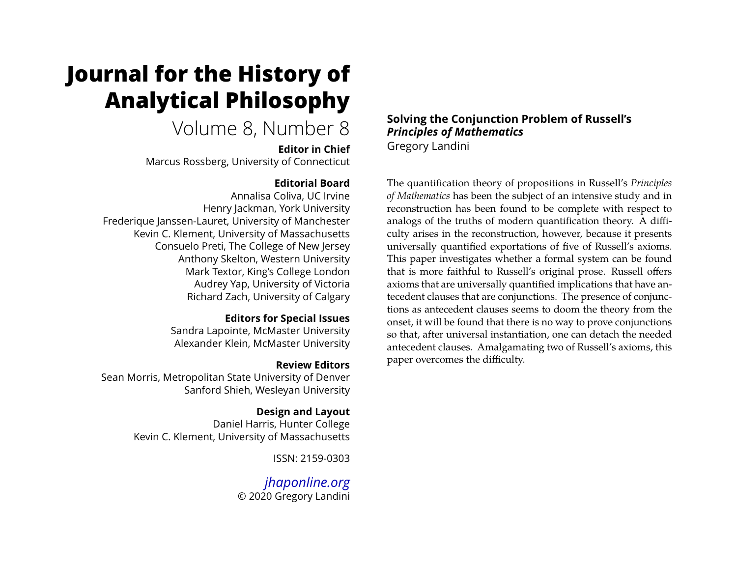# **Journal for the History of Analytical Philosophy**

# Volume 8, Number 8

**Editor in Chief**

Marcus Rossberg, University of Connecticut

#### **Editorial Board**

Annalisa Coliva, UC Irvine Henry Jackman, York University Frederique Janssen-Lauret, University of Manchester Kevin C. Klement, University of Massachusetts Consuelo Preti, The College of New Jersey Anthony Skelton, Western University Mark Textor, King's College London Audrey Yap, University of Victoria Richard Zach, University of Calgary

#### **Editors for Special Issues**

Sandra Lapointe, McMaster University Alexander Klein, McMaster University

#### **Review Editors**

Sean Morris, Metropolitan State University of Denver Sanford Shieh, Wesleyan University

## **Design and Layout**

Daniel Harris, Hunter College Kevin C. Klement, University of Massachusetts

ISSN: 2159-0303

*[jhaponline.org](https://jhaponline.org)* © 2020 Gregory Landini

#### **Solving the Conjunction Problem of Russell's** *Principles of Mathematics* Gregory Landini

The quantification theory of propositions in Russell's *Principles of Mathematics* has been the subject of an intensive study and in reconstruction has been found to be complete with respect to analogs of the truths of modern quantification theory. A difficulty arises in the reconstruction, however, because it presents universally quantified exportations of five of Russell's axioms. This paper investigates whether a formal system can be found that is more faithful to Russell's original prose. Russell offers axioms that are universally quantified implications that have antecedent clauses that are conjunctions. The presence of conjunctions as antecedent clauses seems to doom the theory from the onset, it will be found that there is no way to prove conjunctions so that, after universal instantiation, one can detach the needed antecedent clauses. Amalgamating two of Russell's axioms, this paper overcomes the difficulty.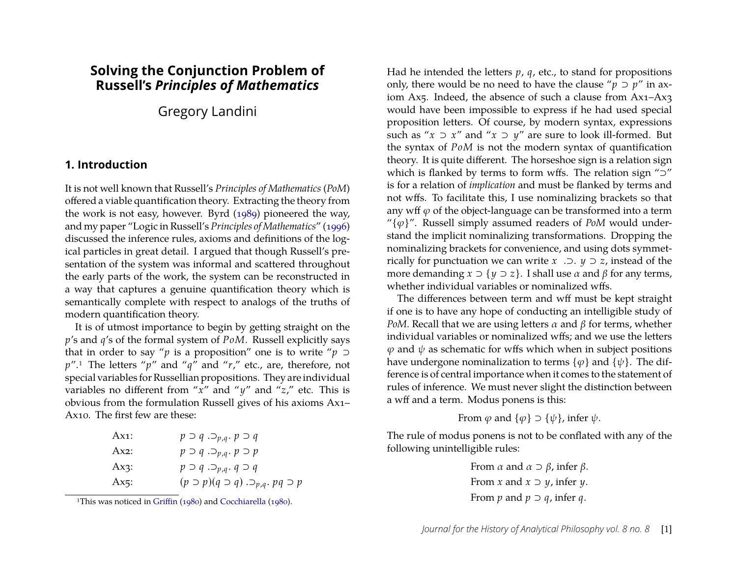## **Solving the Conjunction Problem of Russell's** *Principles of Mathematics*

Gregory Landini

#### **1. Introduction**

It is not well known that Russell's *Principles of Mathematics* (*PoM*) offered a viable quantification theory. Extracting the theory from the work is not easy, however. Byrd [\(1989\)](#page-11-0) pioneered the way, and my paper "Logic in Russell's *Principles of Mathematics*" [\(1996\)](#page-11-1) discussed the inference rules, axioms and definitions of the logical particles in great detail. I argued that though Russell's presentation of the system was informal and scattered throughout the early parts of the work, the system can be reconstructed in a way that captures a genuine quantification theory which is semantically complete with respect to analogs of the truths of modern quantification theory.

It is of utmost importance to begin by getting straight on the *p*'s and *q*'s of the formal system of *PoM*. Russell explicitly says that in order to say "*p* is a proposition" one is to write " $p \supset$ *p*".[1](#page-1-0) The letters "*p*" and "*q*" and "*r*," etc., are, therefore, not special variables for Russellian propositions. They are individual variables no different from "*x*" and "*y*" and "*z*," etc. This is obvious from the formulation Russell gives of his axioms Ax1– Ax10. The first few are these:

| $Ax1$ :  | $p \supset q \supset p,q \cdot p \supset q$              |
|----------|----------------------------------------------------------|
| $Ax2$ :  | $p \supset q \supset p_{q}$ , $p \supset p$              |
| $Ax3$ :  | $p \supset q \supset p,q \cdot q \supset q$              |
| Ax $5$ : | $(p \supset p)(q \supset q) \supset_{p,q} p(q \supset p$ |

<span id="page-1-0"></span><sup>1</sup>This was noticed in [Griffin](#page-11-2) [\(1980\)](#page-11-2) and [Cocchiarella](#page-11-3) [\(1980\)](#page-11-3).

Had he intended the letters *p*, *q*, etc., to stand for propositions only, there would be no need to have the clause " $p \supset p$ " in axiom Ax5. Indeed, the absence of such a clause from Ax1–Ax3 would have been impossible to express if he had used special proposition letters. Of course, by modern syntax, expressions such as " $x \supset x$ " and " $x \supset y$ " are sure to look ill-formed. But the syntax of *PoM* is not the modern syntax of quantification theory. It is quite different. The horseshoe sign is a relation sign which is flanked by terms to form wffs. The relation sign "⊃" is for a relation of *implication* and must be flanked by terms and not wffs. To facilitate this, I use nominalizing brackets so that any wff  $\varphi$  of the object-language can be transformed into a term " $\{\varphi\}$ ". Russell simply assumed readers of *PoM* would understand the implicit nominalizing transformations. Dropping the nominalizing brackets for convenience, and using dots symmetrically for punctuation we can write *x* .⊃. *y* ⊃ *z*, instead of the more demanding  $x \supset \{y \supset z\}$ . I shall use  $\alpha$  and  $\beta$  for any terms, whether individual variables or nominalized wffs.

The differences between term and wff must be kept straight if one is to have any hope of conducting an intelligible study of *PoM*. Recall that we are using letters  $\alpha$  and  $\beta$  for terms, whether individual variables or nominalized wffs; and we use the letters  $\varphi$  and  $\psi$  as schematic for wffs which when in subject positions have undergone nominalization to terms  $\{\varphi\}$  and  $\{\psi\}$ . The difference is of central importance when it comes to the statement of rules of inference. We must never slight the distinction between a wff and a term. Modus ponens is this:

From  $\varphi$  and  $\{\varphi\} \supset \{\psi\}$ , infer  $\psi$ .

The rule of modus ponens is not to be conflated with any of the following unintelligible rules:

> From  $\alpha$  and  $\alpha \supset \beta$ , infer  $\beta$ . From *x* and  $x \supset y$ , infer *y*. From *p* and  $p \supset q$ , infer *q*.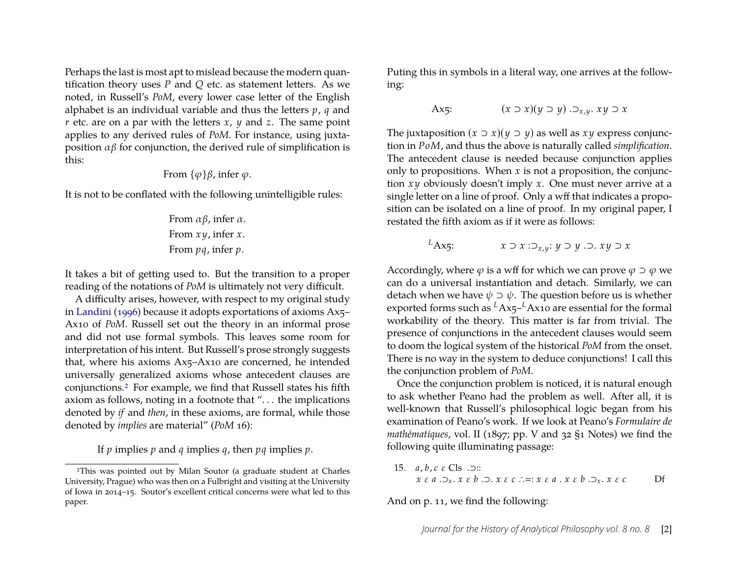Perhaps the last is most apt to mislead because the modern quantification theory uses *P* and *Q* etc. as statement letters. As we noted, in Russell's *PoM*, every lower case letter of the English alphabet is an individual variable and thus the letters *p*, *q* and *r* etc. are on a par with the letters *x*, *y* and *z*. The same point applies to any derived rules of *PoM*. For instance, using juxtaposition  $\alpha$ β for conjunction, the derived rule of simplification is this:

From 
$$
\{\varphi\}\beta
$$
, infer  $\varphi$ .

It is not to be conflated with the following unintelligible rules:

From  $\alpha$ β, infer  $\alpha$ . From *x y*, infer *x*. From *pq*, infer *p*.

It takes a bit of getting used to. But the transition to a proper reading of the notations of *PoM* is ultimately not very difficult.

A difficulty arises, however, with respect to my original study in [Landini](#page-11-1) [\(1996\)](#page-11-1) because it adopts exportations of axioms Ax5– Ax10 of *PoM*. Russell set out the theory in an informal prose and did not use formal symbols. This leaves some room for interpretation of his intent. But Russell's prose strongly suggests that, where his axioms Ax5–Ax10 are concerned, he intended universally generalized axioms whose antecedent clauses are conjunctions.[2](#page-2-0) For example, we find that Russell states his fifth axiom as follows, noting in a footnote that ". . . the implications denoted by *if* and *then*, in these axioms, are formal, while those denoted by *implies* are material" (*PoM* 16):

If *p* implies *p* and *q* implies *q*, then *pq* implies *p*.

Puting this in symbols in a literal way, one arrives at the following:

$$
\text{Ax5:} \quad (x \supset x)(y \supset y) \supset x, y \supset x
$$

The juxtaposition  $(x \supset x)(y \supset y)$  as well as  $xy$  express conjunction in *PoM*, and thus the above is naturally called *simplification*. The antecedent clause is needed because conjunction applies only to propositions. When *x* is not a proposition, the conjunction *x y* obviously doesn't imply *x*. One must never arrive at a single letter on a line of proof. Only a wff that indicates a proposition can be isolated on a line of proof. In my original paper, I restated the fifth axiom as if it were as follows:

$$
L_{\text{Ax5:}} \qquad x \supset x : \supset_{x,y} : y \supset y \supset x
$$

Accordingly, where  $\varphi$  is a wff for which we can prove  $\varphi \supset \varphi$  we can do a universal instantiation and detach. Similarly, we can detach when we have  $\psi \supset \psi$ . The question before us is whether exported forms such as *<sup>L</sup>*Ax5–*L*Ax10 are essential for the formal workability of the theory. This matter is far from trivial. The presence of conjunctions in the antecedent clauses would seem to doom the logical system of the historical *PoM* from the onset. There is no way in the system to deduce conjunctions! I call this the conjunction problem of *PoM*.

Once the conjunction problem is noticed, it is natural enough to ask whether Peano had the problem as well. After all, it is well-known that Russell's philosophical logic began from his examination of Peano's work. If we look at Peano's *Formulaire de mathématiques*, vol. II (1897; pp. V and 32 §1 Notes) we find the following quite illuminating passage:

15. 
$$
a, b, c \in \text{Cls } \square
$$
:  
\n $x \in a \square_x, x \in b \square, x \in c \therefore =: x \in a \cdot x \in b \square_x, x \in c$  If

And on p. 11, we find the following:

<span id="page-2-0"></span><sup>2</sup>This was pointed out by Milan Soutor (a graduate student at Charles University, Prague) who was then on a Fulbright and visiting at the University of Iowa in 2014–15. Soutor's excellent critical concerns were what led to this paper.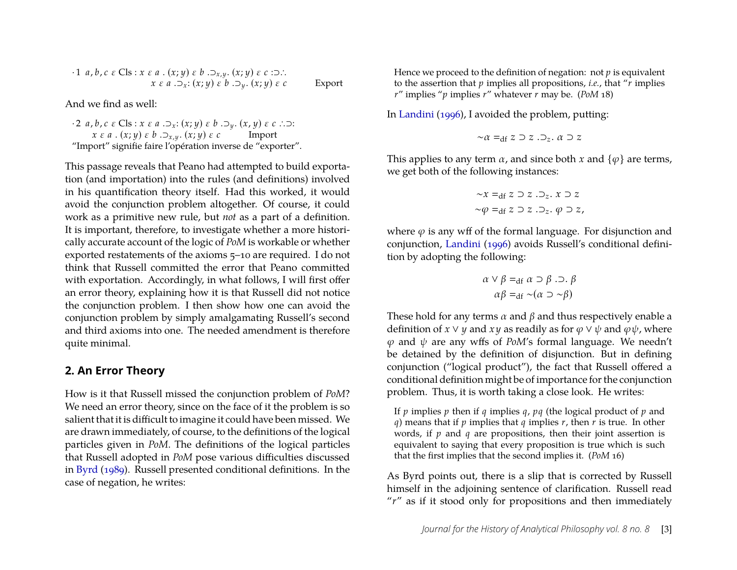$$
\begin{array}{l}\n\cdot 1 \ a, b, c \ \varepsilon \ \text{Cls}: x \ \varepsilon \ a \ . \ (x; y) \ \varepsilon \ b \ . \supset_{x, y} \ . \ (x; y) \ \varepsilon \ c \ \text{in} \ . \ \sup_{x \ \varepsilon \ a \ . \supset_{x} \colon (x; y) \ \varepsilon \ b \ . \supset_{y} \ . \ (x; y) \ \varepsilon \ c \ \text{Export}\n\end{array}
$$

And we find as well:

· 2 *a*, *b*, *c* ε Cls : *x* ε *a* .⊃*x*: (*x*; *y*) ε *b* .⊃*<sup>y</sup>* . (*x*, *y*) ε *c* ∴⊃: *x* ε *a* . (*x*; *y*) ε *b* .⊃*x*,*<sup>y</sup>* . (*x*; *y*) ε *c* Import "Import" signifie faire l'opération inverse de "exporter".

This passage reveals that Peano had attempted to build exportation (and importation) into the rules (and definitions) involved in his quantification theory itself. Had this worked, it would avoid the conjunction problem altogether. Of course, it could work as a primitive new rule, but *not* as a part of a definition. It is important, therefore, to investigate whether a more historically accurate account of the logic of *PoM* is workable or whether exported restatements of the axioms 5–10 are required. I do not think that Russell committed the error that Peano committed with exportation. Accordingly, in what follows, I will first offer an error theory, explaining how it is that Russell did not notice the conjunction problem. I then show how one can avoid the conjunction problem by simply amalgamating Russell's second and third axioms into one. The needed amendment is therefore quite minimal.

#### **2. An Error Theory**

How is it that Russell missed the conjunction problem of *PoM*? We need an error theory, since on the face of it the problem is so salient that it is difficult to imagine it could have been missed. We are drawn immediately, of course, to the definitions of the logical particles given in *PoM*. The definitions of the logical particles that Russell adopted in *PoM* pose various difficulties discussed in [Byrd](#page-11-0) [\(1989\)](#page-11-0). Russell presented conditional definitions. In the case of negation, he writes:

Hence we proceed to the definition of negation: not *p* is equivalent to the assertion that *p* implies all propositions, *i.e.*, that "*r* implies *r*" implies "*p* implies *r*" whatever *r* may be. (*PoM* 18)

In [Landini](#page-11-1) [\(1996\)](#page-11-1), I avoided the problem, putting:

$$
\sim \alpha =_{\text{df}} z \supset z . \supset_z . \alpha \supset z
$$

This applies to any term  $\alpha$ , and since both  $x$  and  $\{\varphi\}$  are terms, we get both of the following instances:

$$
\sim x =_{df} z \supset z . \supset_z . x \supset z
$$
  

$$
\sim \varphi =_{df} z \supset z . \supset_z . \varphi \supset z,
$$

where  $\varphi$  is any wff of the formal language. For disjunction and conjunction, [Landini](#page-11-1) [\(1996\)](#page-11-1) avoids Russell's conditional definition by adopting the following:

$$
\alpha \lor \beta =_{df} \alpha \supset \beta \supset \beta
$$
  

$$
\alpha \beta =_{df} \sim (\alpha \supset \sim \beta)
$$

These hold for any terms  $\alpha$  and  $\beta$  and thus respectively enable a definition of *x* ∨ *y* and *x y* as readily as for  $\varphi \lor \psi$  and  $\varphi \psi$ , where  $\varphi$  and  $\psi$  are any wffs of *PoM's* formal language. We needn't be detained by the definition of disjunction. But in defining conjunction ("logical product"), the fact that Russell offered a conditional definition might be of importance for the conjunction problem. Thus, it is worth taking a close look. He writes:

If *p* implies *p* then if *q* implies *q*, *pq* (the logical product of *p* and *q*) means that if *p* implies that *q* implies *r*, then *r* is true. In other words, if *p* and *q* are propositions, then their joint assertion is equivalent to saying that every proposition is true which is such that the first implies that the second implies it. (*PoM* 16)

As Byrd points out, there is a slip that is corrected by Russell himself in the adjoining sentence of clarification. Russell read "*r*" as if it stood only for propositions and then immediately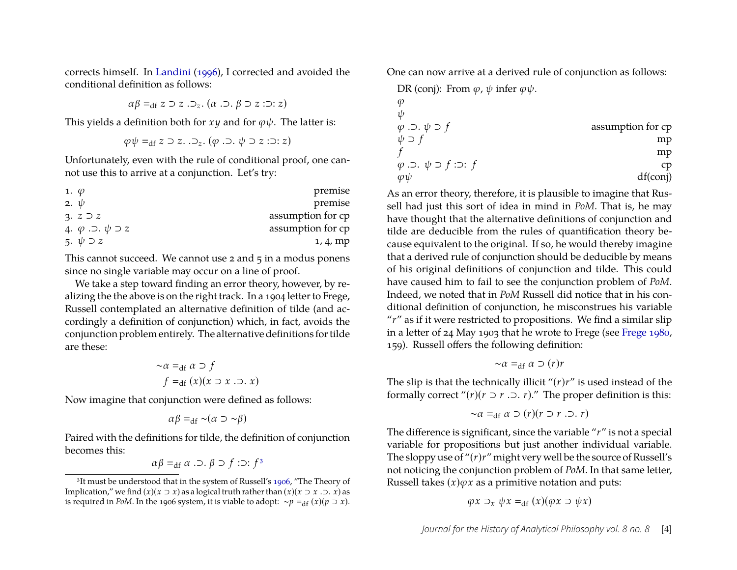corrects himself. In [Landini](#page-11-1) [\(1996\)](#page-11-1), I corrected and avoided the conditional definition as follows:

$$
\alpha\beta =_{\mathrm{df}} z \supset z \cdot \supset_z . (\alpha \cdot \supset . \beta \supset z : \supset : z)
$$

This yields a definition both for  $x \, y$  and for  $\varphi \psi$ . The latter is:

$$
\varphi\psi =_{\mathrm{df}} z \supset z. \supset_z . (\varphi . \supset . \psi \supset z : \supset : z)
$$

Unfortunately, even with the rule of conditional proof, one cannot use this to arrive at a conjunction. Let's try:

| 1. $\varphi$                                | premise           |
|---------------------------------------------|-------------------|
| 2. $\psi$                                   | premise           |
| 3. $z \supset z$                            | assumption for cp |
| 4. $\varphi$ . $\supset$ . $\psi \supset z$ | assumption for cp |
| 5. $\psi \supset z$                         | 1, 4, mp          |

This cannot succeed. We cannot use  $2$  and  $5$  in a modus ponens since no single variable may occur on a line of proof.

We take a step toward finding an error theory, however, by realizing the the above is on the right track. In a 1904 letter to Frege, Russell contemplated an alternative definition of tilde (and accordingly a definition of conjunction) which, in fact, avoids the conjunction problem entirely. The alternative definitions for tilde are these:

$$
\sim \alpha =_{df} \alpha \supset f
$$
  

$$
f =_{df} (x)(x \supset x \supset x)
$$

Now imagine that conjunction were defined as follows:

$$
\alpha\beta =_{\mathrm{df}} \mathop{\sim} (\alpha \supset \mathop{\sim} \beta)
$$

Paired with the definitions for tilde, the definition of conjunction becomes this:

$$
\alpha\beta =_{\text{df}} \alpha \ldots \beta \supset f : \supset f^3
$$

One can now arrive at a derived rule of conjunction as follows:

DR (conj): From  $\varphi$ ,  $\psi$  infer  $\varphi \psi$ .

| $\varphi$                                            | assumption for cp |
|------------------------------------------------------|-------------------|
| $\psi \supset f$                                     | assumption for cp |
| $f$                                                  | mp                |
| $\varphi \supset \ldots \psi \supset f : \supset: f$ | cp                |
| $\varphi \psi$                                       | df(conj)          |

As an error theory, therefore, it is plausible to imagine that Russell had just this sort of idea in mind in *PoM*. That is, he may have thought that the alternative definitions of conjunction and tilde are deducible from the rules of quantification theory because equivalent to the original. If so, he would thereby imagine that a derived rule of conjunction should be deducible by means of his original definitions of conjunction and tilde. This could have caused him to fail to see the conjunction problem of *PoM*. Indeed, we noted that in *PoM* Russell did notice that in his conditional definition of conjunction, he misconstrues his variable "*r*" as if it were restricted to propositions. We find a similar slip in a letter of 24 May 1903 that he wrote to Frege (see [Frege 1980,](#page-11-5) 159). Russell offers the following definition:

$$
\sim \alpha =_{\text{df}} \alpha \supset (r)r
$$

The slip is that the technically illicit "(*r*)*r*" is used instead of the formally correct " $(r)(r \supset r \supset r)$ ." The proper definition is this:

$$
\sim \alpha =_{\text{df}} \alpha \supset (r)(r \supset r \supset r)
$$

The difference is significant, since the variable "*r*" is not a special variable for propositions but just another individual variable. The sloppy use of "(*r*)*r*" might very well be the source of Russell's not noticing the conjunction problem of *PoM*. In that same letter, Russell takes  $(x)\varphi x$  as a primitive notation and puts:

$$
\varphi x \supset_x \psi x =_{\text{df}} (x)(\varphi x \supset \psi x)
$$

<span id="page-4-0"></span><sup>&</sup>lt;sup>3</sup>It must be understood that in the system of Russell's [1906,](#page-11-4) "The Theory of Implication," we find  $(x)(x \supset x)$  as a logical truth rather than  $(x)(x \supset x \supset x)$  as is required in *PoM*. In the 1906 system, it is viable to adopt:  $~\sim p =_{df} (x)(p \supset x)$ .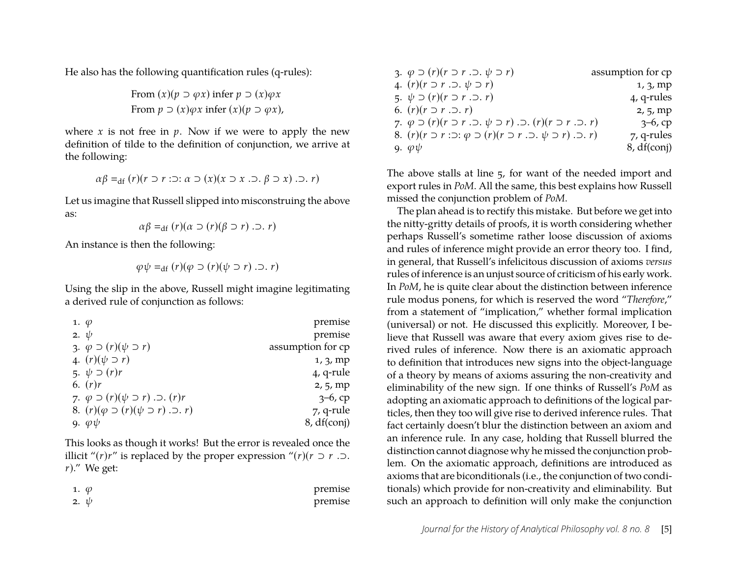He also has the following quantification rules (q-rules):

From 
$$
(x)(p \supset \varphi x)
$$
 infer  $p \supset (x)\varphi x$   
From  $p \supset (x)\varphi x$  infer  $(x)(p \supset \varphi x)$ ,

where  $x$  is not free in  $p$ . Now if we were to apply the new definition of tilde to the definition of conjunction, we arrive at the following:

$$
\alpha\beta =_{\mathrm{df}} (r)(r \supset r : \supset : \alpha \supset (x)(x \supset x \cup \beta \supset x) \cdot \supset r)
$$

Let us imagine that Russell slipped into misconstruing the above as:

$$
\alpha\beta =_{\text{df}} (r)(\alpha \supset (r)(\beta \supset r) \supset r)
$$

An instance is then the following:

$$
\varphi \psi =_{\text{df}} (r)(\varphi \supset (r)(\psi \supset r) \cdot \supset r)
$$

Using the slip in the above, Russell might imagine legitimating a derived rule of conjunction as follows:

| 1. $\varphi$ |                                                             | premise           |
|--------------|-------------------------------------------------------------|-------------------|
| 2. $\psi$    |                                                             | premise           |
|              | 3. $\varphi \supset (r)(\psi \supset r)$                    | assumption for cp |
|              | 4. $(r)(\psi \supset r)$                                    | 1, 3, mp          |
|              | 5. $\psi \supseteq (r)r$                                    | 4, q-rule         |
|              | 6. $(r)r$                                                   | 2, 5, mp          |
|              | 7. $\varphi \supset (r)(\psi \supset r)$ . $\supset (r)r$   | $3-6$ , cp        |
|              | 8. $(r)(\varphi \supset (r)(\psi \supset r)$ . $\supset r)$ | 7, q-rule         |
|              | 9. $\varphi \psi$                                           | 8, df(coni)       |

This looks as though it works! But the error is revealed once the illicit "(*r*)*r*" is replaced by the proper expression "(*r*)(*r* ⊃ *r* .⊃. *r*)." We get:

| 1. $\varphi$ | premise |
|--------------|---------|
| 2. $\psi$    | premise |

| 3. $\varphi \supset (r)(r \supset r \supset \psi \supset r)$                                                                                    | assumption for cp |
|-------------------------------------------------------------------------------------------------------------------------------------------------|-------------------|
| 4. $(r)(r \supset r \supset \ldots \psi \supset r)$                                                                                             | 1, 3, mp          |
| 5. $\psi \supset (r)(r \supset r \supset r)$                                                                                                    | 4, q-rules        |
| 6. $(r)(r \supset r \supset r)$                                                                                                                 | 2, 5, mp          |
| 7. $\varphi \supseteq (r)(r \supseteq r \supseteq r)$ . $\supseteq (r)(r \supseteq r \supseteq r)$ . $\supseteq (r)(r \supseteq r \supseteq r)$ | $3-6$ , cp        |
| 8. $(r)(r \supset r : \supset: \varphi \supset (r)(r \supset r \supset \psi \supset r)$ . $\supset r$ )                                         | 7, q-rules        |
| 9. $\varphi \psi$                                                                                                                               | 8, df (conj)      |

The above stalls at line 5, for want of the needed import and export rules in *PoM*. All the same, this best explains how Russell missed the conjunction problem of *PoM*.

The plan ahead is to rectify this mistake. But before we get into the nitty-gritty details of proofs, it is worth considering whether perhaps Russell's sometime rather loose discussion of axioms and rules of inference might provide an error theory too. I find, in general, that Russell's infelicitous discussion of axioms *versus* rules of inference is an unjust source of criticism of his early work. In *PoM*, he is quite clear about the distinction between inference rule modus ponens, for which is reserved the word "*Therefore*," from a statement of "implication," whether formal implication (universal) or not. He discussed this explicitly. Moreover, I believe that Russell was aware that every axiom gives rise to derived rules of inference. Now there is an axiomatic approach to definition that introduces new signs into the object-language of a theory by means of axioms assuring the non-creativity and eliminability of the new sign. If one thinks of Russell's *PoM* as adopting an axiomatic approach to definitions of the logical particles, then they too will give rise to derived inference rules. That fact certainly doesn't blur the distinction between an axiom and an inference rule. In any case, holding that Russell blurred the distinction cannot diagnose why he missed the conjunction problem. On the axiomatic approach, definitions are introduced as axioms that are biconditionals (i.e., the conjunction of two conditionals) which provide for non-creativity and eliminability. But such an approach to definition will only make the conjunction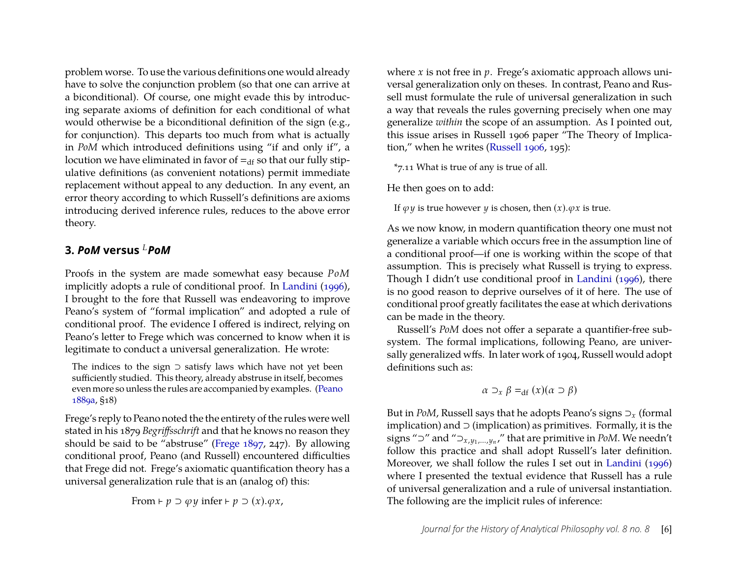problem worse. To use the various definitions one would already have to solve the conjunction problem (so that one can arrive at a biconditional). Of course, one might evade this by introducing separate axioms of definition for each conditional of what would otherwise be a biconditional definition of the sign (e.g., for conjunction). This departs too much from what is actually in *PoM* which introduced definitions using "if and only if", a locution we have eliminated in favor of  $=_{df}$  so that our fully stipulative definitions (as convenient notations) permit immediate replacement without appeal to any deduction. In any event, an error theory according to which Russell's definitions are axioms introducing derived inference rules, reduces to the above error theory.

#### **3.** *PoM* **versus** *<sup>L</sup>PoM*

Proofs in the system are made somewhat easy because *PoM* implicitly adopts a rule of conditional proof. In [Landini](#page-11-1) [\(1996\)](#page-11-1), I brought to the fore that Russell was endeavoring to improve Peano's system of "formal implication" and adopted a rule of conditional proof. The evidence I offered is indirect, relying on Peano's letter to Frege which was concerned to know when it is legitimate to conduct a universal generalization. He wrote:

The indices to the sign  $\supset$  satisfy laws which have not yet been sufficiently studied. This theory, already abstruse in itself, becomes even more so unless the rules are accompanied by examples. [\(Peano](#page-11-6) [1889a,](#page-11-6) §18)

Frege's reply to Peano noted the the entirety of the rules were well stated in his 1879 *Begriffsschrift* and that he knows no reason they should be said to be "abstruse" [\(Frege 1897,](#page-11-7) 247). By allowing conditional proof, Peano (and Russell) encountered difficulties that Frege did not. Frege's axiomatic quantification theory has a universal generalization rule that is an (analog of) this:

From 
$$
\vdash p \supset \varphi y
$$
 infer  $\vdash p \supset (x). \varphi x$ ,

where *x* is not free in *p*. Frege's axiomatic approach allows universal generalization only on theses. In contrast, Peano and Russell must formulate the rule of universal generalization in such a way that reveals the rules governing precisely when one may generalize *within* the scope of an assumption. As I pointed out, this issue arises in Russell 1906 paper "The Theory of Implication," when he writes [\(Russell 1906,](#page-11-4) 195):

\*7.11 What is true of any is true of all.

He then goes on to add:

If  $\varphi \psi$  is true however  $\psi$  is chosen, then  $(x)$ . $\varphi x$  is true.

As we now know, in modern quantification theory one must not generalize a variable which occurs free in the assumption line of a conditional proof—if one is working within the scope of that assumption. This is precisely what Russell is trying to express. Though I didn't use conditional proof in [Landini](#page-11-1) [\(1996\)](#page-11-1), there is no good reason to deprive ourselves of it of here. The use of conditional proof greatly facilitates the ease at which derivations can be made in the theory.

Russell's *PoM* does not offer a separate a quantifier-free subsystem. The formal implications, following Peano, are universally generalized wffs. In later work of 1904, Russell would adopt definitions such as:

$$
\alpha \supset_x \beta =_{\text{df}} (x)(\alpha \supset \beta)
$$

But in *PoM*, Russell says that he adopts Peano's signs ⊃*<sup>x</sup>* (formal implication) and  $\supset$  (implication) as primitives. Formally, it is the signs "⊃" and "⊃*x*,*y*1,...,*y<sup>n</sup>* ," that are primitive in *PoM*. We needn't follow this practice and shall adopt Russell's later definition. Moreover, we shall follow the rules I set out in [Landini](#page-11-1) [\(1996\)](#page-11-1) where I presented the textual evidence that Russell has a rule of universal generalization and a rule of universal instantiation. The following are the implicit rules of inference: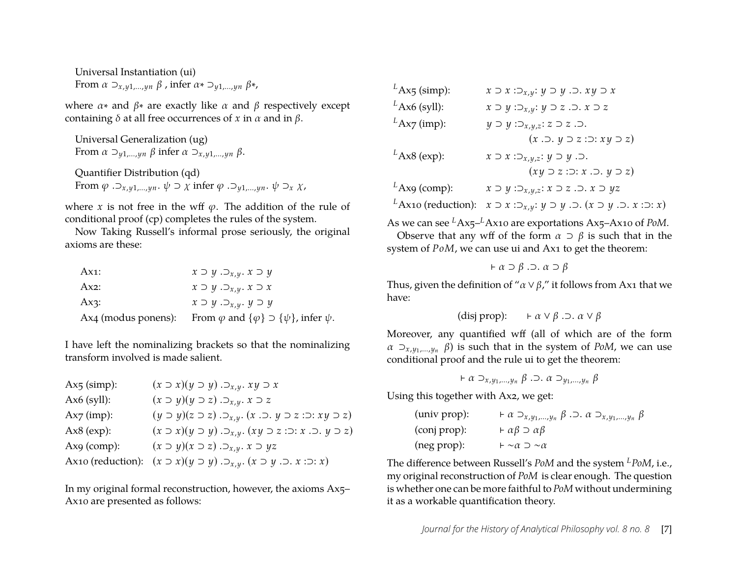Universal Instantiation (ui) From  $\alpha \supset_{x,y_1,\dots,y_n} \beta$ , infer  $\alpha \ast \supset_{y_1,\dots,y_n} \beta \ast$ ,

where  $\alpha$ <sup>\*</sup> and  $\beta$ <sup>\*</sup> are exactly like  $\alpha$  and  $\beta$  respectively except containing  $\delta$  at all free occurrences of *x* in  $\alpha$  and in  $\beta$ .

Universal Generalization (ug) From  $\alpha \supset_{\gamma_1,\dots,\gamma_n} \beta$  infer  $\alpha \supset_{\gamma,\gamma_1,\dots,\gamma_n} \beta$ . Quantifier Distribution (qd) From  $\varphi$  . $\supset_{x,y1,\dots,yn}$ .  $\psi \supset \chi$  infer  $\varphi$  . $\supset_{y1,\dots,yn}$ .  $\psi \supset_{x} \chi$ ,

where *x* is not free in the wff  $\varphi$ . The addition of the rule of conditional proof (cp) completes the rules of the system.

Now Taking Russell's informal prose seriously, the original axioms are these:

| Ax1: | $x \supset y \supset_{x,y} x \supset y$                                                |
|------|----------------------------------------------------------------------------------------|
| Ax2: | $x \supset y \supset_{x,y} x \supset x$                                                |
| Ax3: | $x \supset y \supset_{x,y} y \supset y$                                                |
|      | Ax4 (modus ponens): From $\varphi$ and $\{\varphi\} \supset \{\psi\}$ , infer $\psi$ . |

I have left the nominalizing brackets so that the nominalizing transform involved is made salient.

| $Ax5$ (simp):     | $(x \supset x)(y \supset y) \supset_{x,y}$ . $xy \supset x$                             |
|-------------------|-----------------------------------------------------------------------------------------|
| $Ax6$ (syll):     | $(x \supset y)(y \supset z) \supset_{x,y} x \supset z$                                  |
| $Ax7$ (imp):      | $(y \supset y)(z \supset z) \supset_{x,y} (x \supset y \supset z \supset xy \supset z)$ |
| $Ax8$ (exp):      | $(x \supset x)(y \supset y) \supset_{x,y} (xy \supset z \supset x \supset y \supset z)$ |
| Ax9 (comp):       | $(x \supset y)(x \supset z) \supset_{x,y} x \supset yz$                                 |
| Ax10 (reduction): | $(x \supset x)(y \supset y) \supset_{x,y} (x \supset y \supset x \supset x)$            |

In my original formal reconstruction, however, the axioms Ax5– Ax10 are presented as follows:

| Ax10 (reduction): $x \supset x : \supset_{x,y} : y \supset y$ . $\supset (x \supset y \supset x : \supset x)$ |
|---------------------------------------------------------------------------------------------------------------|
|                                                                                                               |

As we can see *<sup>L</sup>*Ax5–*L*Ax10 are exportations Ax5–Ax10 of *PoM*.

Observe that any wff of the form  $\alpha \supset \beta$  is such that in the system of *PoM*, we can use ui and Ax1 to get the theorem:

$$
\vdash \alpha \supset \beta \cdot \supset \ldots \alpha \supset \beta
$$

Thus, given the definition of " $\alpha \vee \beta$ ," it follows from Ax1 that we have:

(disj prop): 
$$
\qquad \vdash \alpha \lor \beta \land \neg \vdash \alpha \lor \beta
$$

Moreover, any quantified wff (all of which are of the form α ⊃*x*,*y*1,...,*y<sup>n</sup>* β) is such that in the system of *PoM*, we can use conditional proof and the rule ui to get the theorem:

$$
\vdash \alpha \supset_{x,y_1,\ldots,y_n} \beta \cdot \supset \alpha \supset_{y_1,\ldots,y_n} \beta
$$

Using this together with Ax2, we get:

| (univ prop): | $\vdash \alpha \supset_{x,y_1,\dots,y_n} \beta \cdot \supset \alpha \supset_{x,y_1,\dots,y_n} \beta$ |
|--------------|------------------------------------------------------------------------------------------------------|
| (conj prop): | $\vdash \alpha \beta \supset \alpha \beta$                                                           |
| (neg prop):  | $\vdash \sim \alpha \supset \sim \alpha$                                                             |

The difference between Russell's *PoM* and the system *<sup>L</sup>PoM*, i.e., my original reconstruction of *PoM* is clear enough. The question is whether one can be more faithful to *PoM* without undermining it as a workable quantification theory.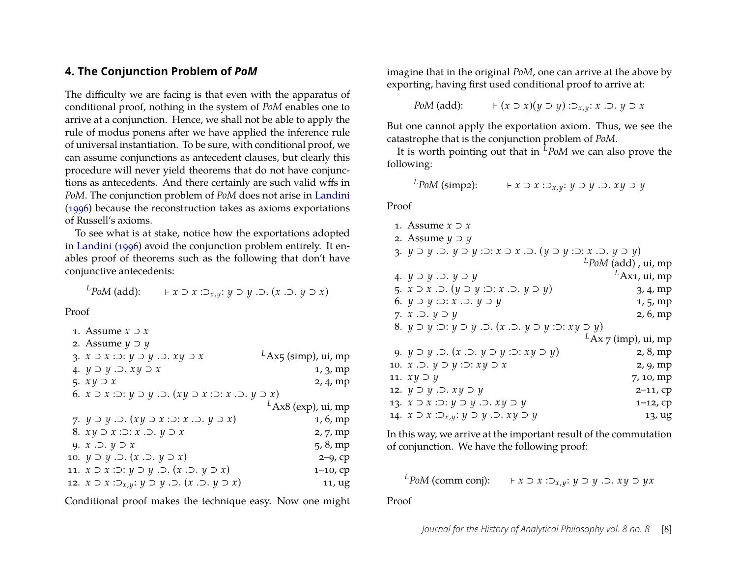#### **4. The Conjunction Problem of** *PoM*

The difficulty we are facing is that even with the apparatus of conditional proof, nothing in the system of *PoM* enables one to arrive at a conjunction. Hence, we shall not be able to apply the rule of modus ponens after we have applied the inference rule of universal instantiation. To be sure, with conditional proof, we can assume conjunctions as antecedent clauses, but clearly this procedure will never yield theorems that do not have conjunctions as antecedents. And there certainly are such valid wffs in *PoM*. The conjunction problem of *PoM* does not arise in [Landini](#page-11-1) [\(1996\)](#page-11-1) because the reconstruction takes as axioms exportations of Russell's axioms.

To see what is at stake, notice how the exportations adopted in [Landini](#page-11-1) [\(1996\)](#page-11-1) avoid the conjunction problem entirely. It enables proof of theorems such as the following that don't have conjunctive antecedents:

*L*<sup>*PoM*</sup> (add): ⊢ *x* ⊃ *x* :⊃<sub>*x*,*y*</sub>: *y* ⊃ *y* .⊃. (*x* .⊃. *y* ⊃ *x*)

Proof

```
1. Assume x ⊃ x
2. Assume y ⊃ y
3. x ⊃ x :⊃: y ⊃ y .⊃. x y ⊃ x
                                LAx<sub>5</sub> (simp), ui, mp
4. y ⊃ y .⊃. x y ⊃ x 1, 3, mp
5. x y ⊃ x 2, 4, mp
6. x ⊃ x :⊃: y ⊃ y .⊃. (x y ⊃ x :⊃: x .⊃. y ⊃ x)
                                 LAx8 (exp), ui, mp
7. y ⊃ y .⊃. (x y ⊃ x :⊃: x .⊃. y ⊃ x) 1, 6, mp
8. x y ⊃ x :⊃: x .⊃. y ⊃ x 2, 7, mp
9. x .\supset y \supset x 5, 8, mp
10. y ⊃ y .⊃. (x .⊃. y ⊃ x) 2–9, cp
11. x ⊃ x :⊃: y ⊃ y .⊃. (x .⊃. y ⊃ x) 1–10, cp
12. x \supset x : \supset_{x,y}: y \supset y. \supset (x \supset y \supset x) 11, ug
```
Conditional proof makes the technique easy. Now one might

imagine that in the original *PoM*, one can arrive at the above by exporting, having first used conditional proof to arrive at:

$$
PoM \text{ (add):} \qquad \vdash (x \supset x)(y \supset y) : \supset_{x,y} : x \supset y \supset x
$$

But one cannot apply the exportation axiom. Thus, we see the catastrophe that is the conjunction problem of *PoM*.

It is worth pointing out that in *<sup>L</sup>PoM* we can also prove the following:

$$
{}^{L}PoM \text{ (simp2):} \qquad \text{ } \vdash x \supset x : \supset_{x,y} : y \supset y \supset xy \supset y
$$

Proof

| 1. Assume $x \supset x$                                                                                                                               |                        |
|-------------------------------------------------------------------------------------------------------------------------------------------------------|------------------------|
| 2. Assume $y \supset y$                                                                                                                               |                        |
| 3. $y \supset y$ . $\supset$ . $y \supset y$ : $\supset$ : $x \supset x$ . $\supset$ . $(y \supset y$ : $\supset$ : $x$ . $\supset$ . $y \supset y$ ) |                        |
|                                                                                                                                                       | $L$ PoM (add), ui, mp  |
| 4. $y \supset y \supset y \supset y$                                                                                                                  | $L$ Ax1, ui, mp        |
| 5. $x \supset x \supset (y \supset y \supset x \supset y \supset y)$                                                                                  | 3, 4, mp               |
| 6. $y \supset y : \supset: x \supset y \supset y$                                                                                                     | 1, 5, mp               |
| 7. $x \nightharpoonup y \supset y$                                                                                                                    | 2, 6, mp               |
| 8. $y \supset y : \supset: y \supset y$ . $\supset. (x \supset y \supset y : \supset: xy \supset y)$                                                  |                        |
|                                                                                                                                                       | $L$ Ax 7 (imp), ui, mp |
| 9. $y \supset y$ . $\supset$ . $(x \supset y \supset y \supset xy \supset y)$                                                                         | 2, 8, mp               |
| 10. $x \supset y \supset y \supset xy \supset x$                                                                                                      | 2, 9, mp               |
| 11. $xy \supset y$                                                                                                                                    | 7, 10, mp              |
| 12. $y \supset y \supset xy \supset y$                                                                                                                | $2 - 11$ , cp          |
| 13. $x \supset x : \supset: y \supset y : \supset. xy \supset y$                                                                                      | $1-12$ , cp            |
| 14. $x \supset x : \supset_{x,y} : y \supset y$ . $\supset xy \supset y$                                                                              | 13, ug                 |
|                                                                                                                                                       |                        |

In this way, we arrive at the important result of the commutation of conjunction. We have the following proof:

*<sup>L</sup>PoM* (comm conj): ⊢ *x* ⊃ *x* :⊃*x*,*y*: *y* ⊃ *y* .⊃. *x y* ⊃ *yx*

Proof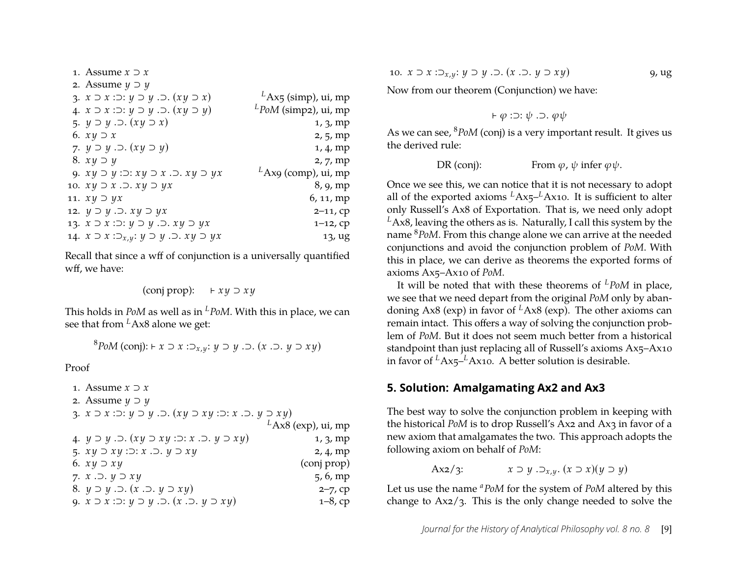| 1. Assume $x \supset x$                                           |                         |
|-------------------------------------------------------------------|-------------------------|
| 2. Assume $y \supset y$                                           |                         |
| 3. $x \supset x : \supset: y \supset y : \supset (xy \supset x)$  | $L$ Ax5 (simp), ui, mp  |
| 4. $x \supset x : \supset: y \supset y : \supset (xy \supset y)$  | $L$ PoM (simp2), ui, mp |
| 5. $y \supset y$ . $\supset (xy \supset x)$                       | 1, 3, mp                |
| 6. $xy \supset x$                                                 | 2, 5, mp                |
| 7. $y \supset y$ . $\supset (xy \supset y)$                       | 1, 4, mp                |
| 8. $xy \supset y$                                                 | 2, 7, mp                |
| 9. $xy \supset y : \supset: xy \supset x \supset xy \supset yx$   | $L$ Ax9 (comp), ui, mp  |
| 10. $xy \supset x \supset xy \supset yx$                          | 8, 9, mp                |
| 11. $xy \supset yx$                                               | 6, 11, mp               |
| 12. $y \supset y \supset x$ , $x \supset y$ $x$                   | $2 - 11$ , cp           |
| 13. $x \supset x : \supset: y \supset y : \supset. xy \supset yx$ | $1-12$ , cp             |
| 14. $x \supset x : \supset_{x,y} : y \supset y \supset x$         | 13, ug                  |
|                                                                   |                         |

Recall that since a wff of conjunction is a universally quantified wff, we have:

$$
(conj \, prop): \quad \vdash xy \supset xy
$$

This holds in *PoM* as well as in *<sup>L</sup>PoM*. With this in place, we can see that from *<sup>L</sup>*Ax8 alone we get:

<sup>8</sup>*PoM* (conj): <sup>⊢</sup> *<sup>x</sup>* <sup>⊃</sup> *<sup>x</sup>* :⊃*x*,*y*: *<sup>y</sup>* <sup>⊃</sup> *<sup>y</sup>* .⊃. (*<sup>x</sup>* .⊃. *<sup>y</sup>* <sup>⊃</sup> *x y*)

Proof

```
1. Assume x ⊃ x
2. Assume y ⊃ y
3. x ⊃ x :⊃: y ⊃ y .⊃. (x y ⊃ x y :⊃: x .⊃. y ⊃ x y)
                             LAx8 (exp), ui, mp
4. y ⊃ y .⊃. (x y ⊃ x y :⊃: x .⊃. y ⊃ x y) 1, 3, mp
5. x y ⊃ x y :⊃: x .⊃. y ⊃ x y 2, 4, mp
6. x y ⊃ x y (conj prop)
7. x .⊃. y ⊃ xy 5, 6, mp
8. y ⊃ y .⊃. (x .⊃. y ⊃ x y) 2–7, cp
9. x ⊃ x :⊃: y ⊃ y .⊃. (x .⊃. y ⊃ x y) 1–8, cp
```
10. 
$$
x \supset x : \supset_{x,y} : y \supset y \supset (x \supset y \supset xy)
$$
 9, ug

Now from our theorem (Conjunction) we have:

$$
\vdash \varphi :\supset: \psi .\supset. \varphi \psi
$$

As we can see, <sup>8</sup>*PoM* (conj) is a very important result. It gives us the derived rule:

$$
DR (conj): \tFrom \t\varphi, \psi \t{ infer } \t\varphi \psi.
$$

Once we see this, we can notice that it is not necessary to adopt all of the exported axioms  $L$ Ax<sub>5</sub>– $L$ Ax10. It is sufficient to alter only Russell's Ax8 of Exportation. That is, we need only adopt  $<sup>L</sup>Ax8$ , leaving the others as is. Naturally, I call this system by the</sup> name <sup>8</sup>*PoM*. From this change alone we can arrive at the needed conjunctions and avoid the conjunction problem of *PoM*. With this in place, we can derive as theorems the exported forms of axioms Ax5–Ax10 of *PoM*.

It will be noted that with these theorems of *<sup>L</sup>PoM* in place, we see that we need depart from the original *PoM* only by abandoning Ax8 (exp) in favor of *<sup>L</sup>*Ax8 (exp). The other axioms can remain intact. This offers a way of solving the conjunction problem of *PoM*. But it does not seem much better from a historical standpoint than just replacing all of Russell's axioms Ax5–Ax10 in favor of <sup>L</sup>Ax<sub>5</sub>–<sup>L</sup>Ax10. A better solution is desirable.

#### **5. Solution: Amalgamating Ax2 and Ax3**

The best way to solve the conjunction problem in keeping with the historical *PoM* is to drop Russell's Ax2 and Ax3 in favor of a new axiom that amalgamates the two. This approach adopts the following axiom on behalf of *PoM*:

Ax2/3:  $x ⊃ y . ⊃ x, y . (x ⊃ x)(y ⊇ y)$ 

Let us use the name *<sup>a</sup>PoM* for the system of *PoM* altered by this change to Ax2/3. This is the only change needed to solve the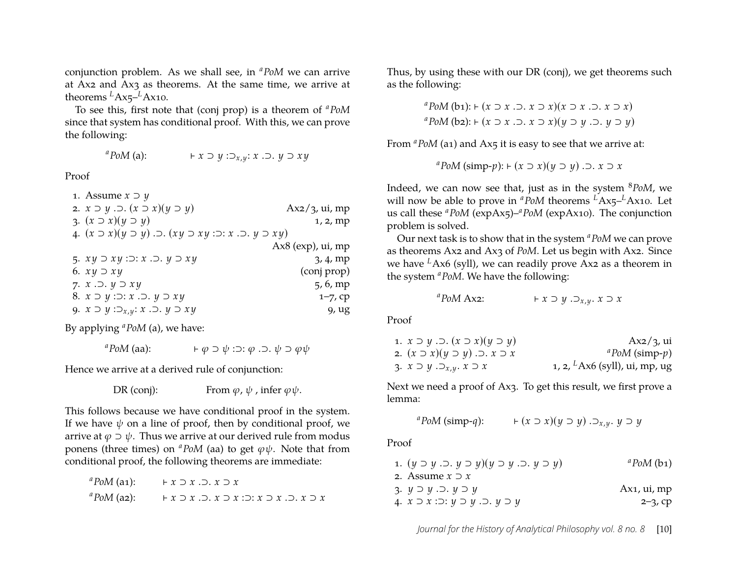conjunction problem. As we shall see, in *<sup>a</sup>PoM* we can arrive at Ax2 and Ax3 as theorems. At the same time, we arrive at theorems  ${}^L$ Ax<sub>5</sub>– ${}^L$ Ax<sub>10</sub>.

To see this, first note that (conj prop) is a theorem of *<sup>a</sup>PoM* since that system has conditional proof. With this, we can prove the following:

*<sup>a</sup>PoM* (a): ⊢ *x* ⊃ *y* :⊃*x*,*y*: *x* .⊃. *y* ⊃ *x y*

Proof

| 1. Assume $x \supset y$                                                                   |                        |
|-------------------------------------------------------------------------------------------|------------------------|
| 2. $x \supset y \supset (x \supset x)(y \supset y)$                                       | $Ax2/3$ , ui, mp       |
| 3. $(x \supset x)(y \supset y)$                                                           | 1, 2, mp               |
| 4. $(x \supset x)(y \supset y)$ . $\supset (xy \supset xy)$ : $\supset (x, y \supset xy)$ |                        |
|                                                                                           | $Ax8$ (exp), $ui$ , mp |
| 5. $xy \supset xy : \supset : x \supset y \supset xy$                                     | 3, 4, mp               |
| 6. $xy \supset xy$                                                                        | (conj prop)            |
| 7. $x \nightharpoonup$ $y \nightharpoonup xy$                                             | 5, 6, mp               |
| 8. $x \supset y : \supset: x \supset y \supset xy$                                        | $1 - 7$ , cp           |
| 9. $x \supset y : \supset_{x,y}: x \supset y \supset xy$                                  | 9, ug                  |
|                                                                                           |                        |

By applying *<sup>a</sup>PoM* (a), we have:

 $a^a$ *PoM* (aa): ⊢  $\varphi \supset \psi$  : $\supset : \varphi \supset \psi \supset \varphi \psi$ 

Hence we arrive at a derived rule of conjunction:

DR (conj): From  $\varphi$ ,  $\psi$ , infer  $\varphi \psi$ .

This follows because we have conditional proof in the system. If we have  $\psi$  on a line of proof, then by conditional proof, we arrive at  $\varphi \supset \psi$ . Thus we arrive at our derived rule from modus ponens (three times) on  ${}^aPoM$  (aa) to get  $\varphi\psi$ . Note that from conditional proof, the following theorems are immediate:

| ${}^aPoM$ (a1): | $\vdash x \supset x \cup z \supset x$                                                         |
|-----------------|-----------------------------------------------------------------------------------------------|
| ${}^aPoM$ (a2): | $\vdash x \supset x \cup \ldots \supset x \supset x : \neg x \supset x \cup \ldots \supset x$ |

Thus, by using these with our DR (conj), we get theorems such as the following:

> *<sup>a</sup>PoM* (b1): ⊢ (*x* ⊃ *x* .⊃. *x* ⊃ *x*)(*x* ⊃ *x* .⊃. *x* ⊃ *x*) *<sup>a</sup>PoM* (b2): ⊢ (*x* ⊃ *x* .⊃. *x* ⊃ *x*)(*y* ⊃ *y* .⊃. *y* ⊃ *y*)

From <sup>*a*</sup>*PoM* (a1) and Ax<sub>5</sub> it is easy to see that we arrive at:

*<sup>a</sup>PoM* (simp-*p*): ⊢ (*x* ⊃ *x*)(*y* ⊃ *y*) .⊃. *x* ⊃ *x*

Indeed, we can now see that, just as in the system <sup>8</sup>*PoM*, we will now be able to prove in  ${}^aPoM$  theorems <sup>L</sup>Ax<sub>5</sub>–<sup>L</sup>Ax10. Let us call these *<sup>a</sup>PoM* (expAx5)–*aPoM* (expAx10). The conjunction problem is solved.

Our next task is to show that in the system *<sup>a</sup>PoM* we can prove as theorems Ax2 and Ax3 of *PoM*. Let us begin with Ax2. Since we have *<sup>L</sup>*Ax6 (syll), we can readily prove Ax2 as a theorem in the system *<sup>a</sup>PoM*. We have the following:

$$
{}^{a}PoM \text{ A}xz: \qquad \qquad \vdash x \supset y \, .\, \supset x, y \, .\, x \supset x
$$

Proof

| 1. $x \supset y$ . $\supset$ . $(x \supset x)(y \supset y)$ | $Ax2/3$ , ui                              |
|-------------------------------------------------------------|-------------------------------------------|
| 2. $(x \supset x)(y \supset y)$ . $\supset x \supset x$     | ${}^a$ PoM (simp- $p$ )                   |
| 3. $x \supset y \supset_{x,y} x \supset x$                  | 1, 2, <sup>L</sup> Ax6 (syll), ui, mp, ug |

Next we need a proof of Ax3. To get this result, we first prove a lemma:

$$
{}^{a}PoM \text{ (simp-}q) : \qquad \quad \vdash (x \supset x)(y \supset y) \, . \supset_{x,y} \, . \, y \supset y
$$

Proof

| 1. $(y \supset y \supset y \supset y)(y \supset y \supset y \supset y)$ | ${}^a$ PoM (b1) |
|-------------------------------------------------------------------------|-----------------|
| 2. Assume $x \supset x$                                                 |                 |
| 3. $y \supset y \supset y \supset y$                                    | $Ax_1$ , ui, mp |
| 4. $x \supset x : \supset: y \supset y : \supset y \supset y$           | $2 - 3$ , cp    |

*Journal for the History of Analytical Philosophy vol. 8 no. 8* [10]